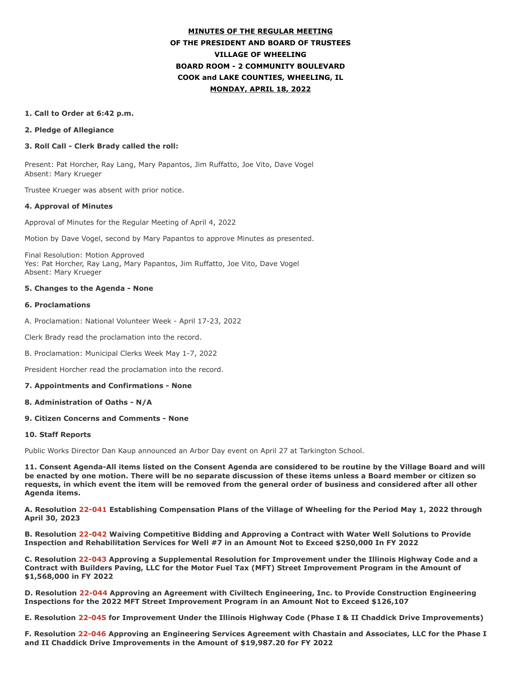# **MINUTES OF THE REGULAR MEETING OF THE PRESIDENT AND BOARD OF TRUSTEES VILLAGE OF WHEELING BOARD ROOM - 2 COMMUNITY BOULEVARD COOK and LAKE COUNTIES, WHEELING, IL MONDAY, APRIL 18, 2022**

#### **1. Call to Order at 6:42 p.m.**

#### **2. Pledge of Allegiance**

### **3. Roll Call - Clerk Brady called the roll:**

Present: Pat Horcher, Ray Lang, Mary Papantos, Jim Ruffatto, Joe Vito, Dave Vogel Absent: Mary Krueger

Trustee Krueger was absent with prior notice.

#### **4. Approval of Minutes**

Approval of Minutes for the Regular Meeting of April 4, 2022

Motion by Dave Vogel, second by Mary Papantos to approve Minutes as presented.

Final Resolution: Motion Approved Yes: Pat Horcher, Ray Lang, Mary Papantos, Jim Ruffatto, Joe Vito, Dave Vogel Absent: Mary Krueger

### **5. Changes to the Agenda - None**

#### **6. Proclamations**

A. Proclamation: National Volunteer Week - April 17-23, 2022

Clerk Brady read the proclamation into the record.

B. Proclamation: Municipal Clerks Week May 1-7, 2022

President Horcher read the proclamation into the record.

### **7. Appointments and Confirmations - None**

### **8. Administration of Oaths - N/A**

### **9. Citizen Concerns and Comments - None**

#### **10. Staff Reports**

Public Works Director Dan Kaup announced an Arbor Day event on April 27 at Tarkington School.

**11. Consent Agenda-All items listed on the Consent Agenda are considered to be routine by the Village Board and will be enacted by one motion. There will be no separate discussion of these items unless a Board member or citizen so requests, in which event the item will be removed from the general order of business and considered after all other Agenda items.**

**A. Resolution 22-041 Establishing Compensation Plans of the Village of Wheeling for the Period May 1, 2022 through April 30, 2023**

**B. Resolution 22-042 Waiving Competitive Bidding and Approving a Contract with Water Well Solutions to Provide Inspection and Rehabilitation Services for Well #7 in an Amount Not to Exceed \$250,000 In FY 2022**

**C. Resolution 22-043 Approving a Supplemental Resolution for Improvement under the Illinois Highway Code and a Contract with Builders Paving, LLC for the Motor Fuel Tax (MFT) Street Improvement Program in the Amount of \$1,568,000 in FY 2022**

**D. Resolution 22-044 Approving an Agreement with Civiltech Engineering, Inc. to Provide Construction Engineering Inspections for the 2022 MFT Street Improvement Program in an Amount Not to Exceed \$126,107**

**E. Resolution 22-045 for Improvement Under the Illinois Highway Code (Phase I & II Chaddick Drive Improvements)**

**F. Resolution 22-046 Approving an Engineering Services Agreement with Chastain and Associates, LLC for the Phase I and II Chaddick Drive Improvements in the Amount of \$19,987.20 for FY 2022**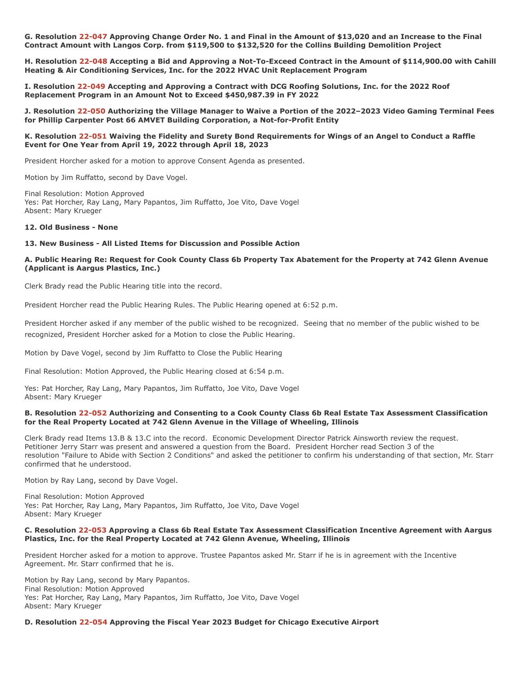**G. Resolution 22-047 Approving Change Order No. 1 and Final in the Amount of \$13,020 and an Increase to the Final Contract Amount with Langos Corp. from \$119,500 to \$132,520 for the Collins Building Demolition Project**

**H. Resolution 22-048 Accepting a Bid and Approving a Not-To-Exceed Contract in the Amount of \$114,900.00 with Cahill Heating & Air Conditioning Services, Inc. for the 2022 HVAC Unit Replacement Program**

**I. Resolution 22-049 Accepting and Approving a Contract with DCG Roofing Solutions, Inc. for the 2022 Roof Replacement Program in an Amount Not to Exceed \$450,987.39 in FY 2022**

**J. Resolution 22-050 Authorizing the Village Manager to Waive a Portion of the 2022–2023 Video Gaming Terminal Fees for Phillip Carpenter Post 66 AMVET Building Corporation, a Not-for-Profit Entity**

#### **K. Resolution 22-051 Waiving the Fidelity and Surety Bond Requirements for Wings of an Angel to Conduct a Raffle Event for One Year from April 19, 2022 through April 18, 2023**

President Horcher asked for a motion to approve Consent Agenda as presented.

Motion by Jim Ruffatto, second by Dave Vogel.

Final Resolution: Motion Approved Yes: Pat Horcher, Ray Lang, Mary Papantos, Jim Ruffatto, Joe Vito, Dave Vogel Absent: Mary Krueger

#### **12. Old Business - None**

### **13. New Business - All Listed Items for Discussion and Possible Action**

### **A. Public Hearing Re: Request for Cook County Class 6b Property Tax Abatement for the Property at 742 Glenn Avenue (Applicant is Aargus Plastics, Inc.)**

Clerk Brady read the Public Hearing title into the record.

President Horcher read the Public Hearing Rules. The Public Hearing opened at 6:52 p.m.

President Horcher asked if any member of the public wished to be recognized. Seeing that no member of the public wished to be recognized, President Horcher asked for a Motion to close the Public Hearing.

Motion by Dave Vogel, second by Jim Ruffatto to Close the Public Hearing

Final Resolution: Motion Approved, the Public Hearing closed at 6:54 p.m.

Yes: Pat Horcher, Ray Lang, Mary Papantos, Jim Ruffatto, Joe Vito, Dave Vogel Absent: Mary Krueger

#### **B. Resolution 22-052 Authorizing and Consenting to a Cook County Class 6b Real Estate Tax Assessment Classification for the Real Property Located at 742 Glenn Avenue in the Village of Wheeling, Illinois**

Clerk Brady read Items 13.B & 13.C into the record. Economic Development Director Patrick Ainsworth review the request. Petitioner Jerry Starr was present and answered a question from the Board. President Horcher read Section 3 of the resolution "Failure to Abide with Section 2 Conditions" and asked the petitioner to confirm his understanding of that section, Mr. Starr confirmed that he understood.

Motion by Ray Lang, second by Dave Vogel.

Final Resolution: Motion Approved Yes: Pat Horcher, Ray Lang, Mary Papantos, Jim Ruffatto, Joe Vito, Dave Vogel Absent: Mary Krueger

#### **C. Resolution 22-053 Approving a Class 6b Real Estate Tax Assessment Classification Incentive Agreement with Aargus Plastics, Inc. for the Real Property Located at 742 Glenn Avenue, Wheeling, Illinois**

President Horcher asked for a motion to approve. Trustee Papantos asked Mr. Starr if he is in agreement with the Incentive Agreement. Mr. Starr confirmed that he is.

Motion by Ray Lang, second by Mary Papantos. Final Resolution: Motion Approved Yes: Pat Horcher, Ray Lang, Mary Papantos, Jim Ruffatto, Joe Vito, Dave Vogel Absent: Mary Krueger

#### **D. Resolution 22-054 Approving the Fiscal Year 2023 Budget for Chicago Executive Airport**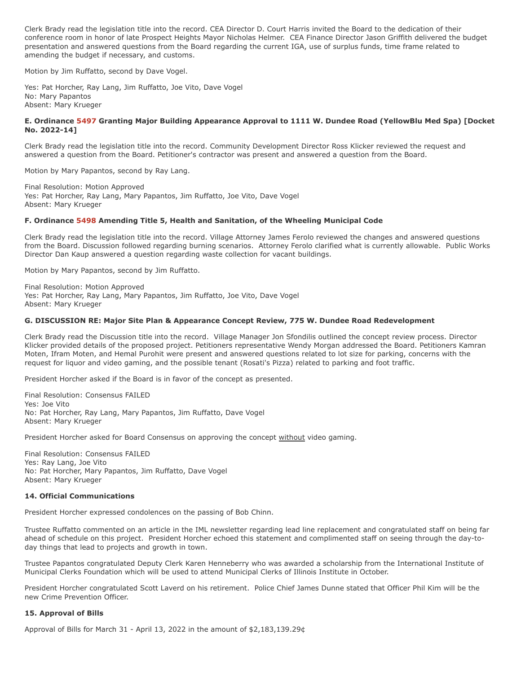Clerk Brady read the legislation title into the record. CEA Director D. Court Harris invited the Board to the dedication of their conference room in honor of late Prospect Heights Mayor Nicholas Helmer. CEA Finance Director Jason Griffith delivered the budget presentation and answered questions from the Board regarding the current IGA, use of surplus funds, time frame related to amending the budget if necessary, and customs.

Motion by Jim Ruffatto, second by Dave Vogel.

Yes: Pat Horcher, Ray Lang, Jim Ruffatto, Joe Vito, Dave Vogel No: Mary Papantos Absent: Mary Krueger

### **E. Ordinance 5497 Granting Major Building Appearance Approval to 1111 W. Dundee Road (YellowBlu Med Spa) [Docket No. 2022-14]**

Clerk Brady read the legislation title into the record. Community Development Director Ross Klicker reviewed the request and answered a question from the Board. Petitioner's contractor was present and answered a question from the Board.

Motion by Mary Papantos, second by Ray Lang.

Final Resolution: Motion Approved Yes: Pat Horcher, Ray Lang, Mary Papantos, Jim Ruffatto, Joe Vito, Dave Vogel Absent: Mary Krueger

### **F. Ordinance 5498 Amending Title 5, Health and Sanitation, of the Wheeling Municipal Code**

Clerk Brady read the legislation title into the record. Village Attorney James Ferolo reviewed the changes and answered questions from the Board. Discussion followed regarding burning scenarios. Attorney Ferolo clarified what is currently allowable. Public Works Director Dan Kaup answered a question regarding waste collection for vacant buildings.

Motion by Mary Papantos, second by Jim Ruffatto.

Final Resolution: Motion Approved Yes: Pat Horcher, Ray Lang, Mary Papantos, Jim Ruffatto, Joe Vito, Dave Vogel Absent: Mary Krueger

### **G. DISCUSSION RE: Major Site Plan & Appearance Concept Review, 775 W. Dundee Road Redevelopment**

Clerk Brady read the Discussion title into the record. Village Manager Jon Sfondilis outlined the concept review process. Director Klicker provided details of the proposed project. Petitioners representative Wendy Morgan addressed the Board. Petitioners Kamran Moten, Ifram Moten, and Hemal Purohit were present and answered questions related to lot size for parking, concerns with the request for liquor and video gaming, and the possible tenant (Rosati's Pizza) related to parking and foot traffic.

President Horcher asked if the Board is in favor of the concept as presented.

Final Resolution: Consensus FAILED Yes: Joe Vito No: Pat Horcher, Ray Lang, Mary Papantos, Jim Ruffatto, Dave Vogel Absent: Mary Krueger

President Horcher asked for Board Consensus on approving the concept without video gaming.

Final Resolution: Consensus FAILED Yes: Ray Lang, Joe Vito No: Pat Horcher, Mary Papantos, Jim Ruffatto, Dave Vogel Absent: Mary Krueger

#### **14. Official Communications**

President Horcher expressed condolences on the passing of Bob Chinn.

Trustee Ruffatto commented on an article in the IML newsletter regarding lead line replacement and congratulated staff on being far ahead of schedule on this project. President Horcher echoed this statement and complimented staff on seeing through the day-today things that lead to projects and growth in town.

Trustee Papantos congratulated Deputy Clerk Karen Henneberry who was awarded a scholarship from the International Institute of Municipal Clerks Foundation which will be used to attend Municipal Clerks of Illinois Institute in October.

President Horcher congratulated Scott Laverd on his retirement. Police Chief James Dunne stated that Officer Phil Kim will be the new Crime Prevention Officer.

### **15. Approval of Bills**

Approval of Bills for March 31 - April 13, 2022 in the amount of \$2,183,139.29¢